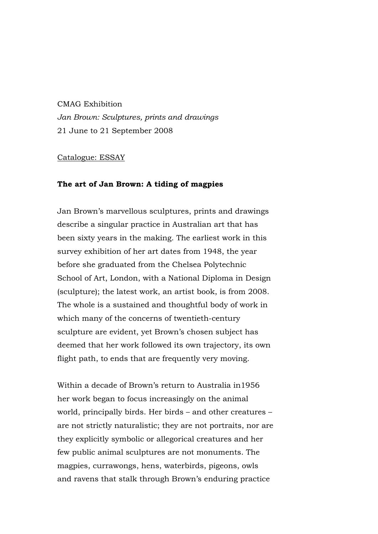## CMAG Exhibition *Jan Brown: Sculptures, prints and drawings*  21 June to 21 September 2008

Catalogue: ESSAY

## **The art of Jan Brown: A tiding of magpies**

Jan Brown's marvellous sculptures, prints and drawings describe a singular practice in Australian art that has been sixty years in the making. The earliest work in this survey exhibition of her art dates from 1948, the year before she graduated from the Chelsea Polytechnic School of Art, London, with a National Diploma in Design (sculpture); the latest work, an artist book, is from 2008. The whole is a sustained and thoughtful body of work in which many of the concerns of twentieth-century sculpture are evident, yet Brown's chosen subject has deemed that her work followed its own trajectory, its own flight path, to ends that are frequently very moving.

Within a decade of Brown's return to Australia in1956 her work began to focus increasingly on the animal world, principally birds. Her birds – and other creatures – are not strictly naturalistic; they are not portraits, nor are they explicitly symbolic or allegorical creatures and her few public animal sculptures are not monuments. The magpies, currawongs, hens, waterbirds, pigeons, owls and ravens that stalk through Brown's enduring practice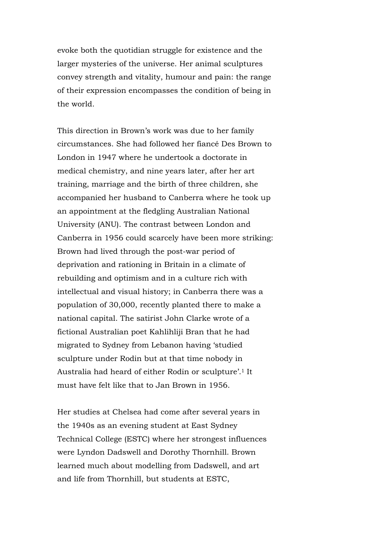evoke both the quotidian struggle for existence and the larger mysteries of the universe. Her animal sculptures convey strength and vitality, humour and pain: the range of their expression encompasses the condition of being in the world.

This direction in Brown's work was due to her family circumstances. She had followed her fiancé Des Brown to London in 1947 where he undertook a doctorate in medical chemistry, and nine years later, after her art training, marriage and the birth of three children, she accompanied her husband to Canberra where he took up an appointment at the fledgling Australian National University (ANU). The contrast between London and Canberra in 1956 could scarcely have been more striking: Brown had lived through the post-war period of deprivation and rationing in Britain in a climate of rebuilding and optimism and in a culture rich with intellectual and visual history; in Canberra there was a population of 30,000, recently planted there to make a national capital. The satirist John Clarke wrote of a fictional Australian poet Kahlihliji Bran that he had migrated to Sydney from Lebanon having 'studied sculpture under Rodin but at that time nobody in Australia had heard of either Rodin or sculpture'.1 It must have felt like that to Jan Brown in 1956.

Her studies at Chelsea had come after several years in the 1940s as an evening student at East Sydney Technical College (ESTC) where her strongest influences were Lyndon Dadswell and Dorothy Thornhill. Brown learned much about modelling from Dadswell, and art and life from Thornhill, but students at ESTC,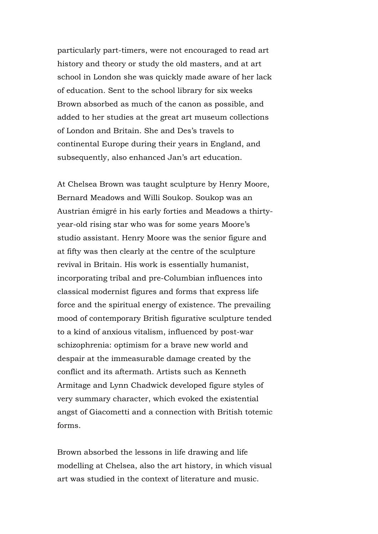particularly part-timers, were not encouraged to read art history and theory or study the old masters, and at art school in London she was quickly made aware of her lack of education. Sent to the school library for six weeks Brown absorbed as much of the canon as possible, and added to her studies at the great art museum collections of London and Britain. She and Des's travels to continental Europe during their years in England, and subsequently, also enhanced Jan's art education.

At Chelsea Brown was taught sculpture by Henry Moore, Bernard Meadows and Willi Soukop. Soukop was an Austrian émigré in his early forties and Meadows a thirtyyear-old rising star who was for some years Moore's studio assistant. Henry Moore was the senior figure and at fifty was then clearly at the centre of the sculpture revival in Britain. His work is essentially humanist, incorporating tribal and pre-Columbian influences into classical modernist figures and forms that express life force and the spiritual energy of existence. The prevailing mood of contemporary British figurative sculpture tended to a kind of anxious vitalism, influenced by post-war schizophrenia: optimism for a brave new world and despair at the immeasurable damage created by the conflict and its aftermath. Artists such as Kenneth Armitage and Lynn Chadwick developed figure styles of very summary character, which evoked the existential angst of Giacometti and a connection with British totemic forms.

Brown absorbed the lessons in life drawing and life modelling at Chelsea, also the art history, in which visual art was studied in the context of literature and music.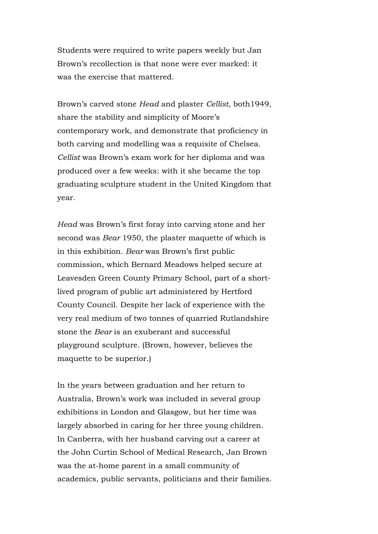Students were required to write papers weekly but Jan Brown's recollection is that none were ever marked: it was the exercise that mattered.

Brown's carved stone *Head* and plaster *Cellist*, both1949, share the stability and simplicity of Moore's contemporary work, and demonstrate that proficiency in both carving and modelling was a requisite of Chelsea. *Cellist* was Brown's exam work for her diploma and was produced over a few weeks: with it she became the top graduating sculpture student in the United Kingdom that year.

*Head* was Brown's first foray into carving stone and her second was *Bear* 1950, the plaster maquette of which is in this exhibition. *Bear* was Brown's first public commission, which Bernard Meadows helped secure at Leavesden Green County Primary School, part of a shortlived program of public art administered by Hertford County Council. Despite her lack of experience with the very real medium of two tonnes of quarried Rutlandshire stone the *Bear* is an exuberant and successful playground sculpture. (Brown, however, believes the maquette to be superior.)

In the years between graduation and her return to Australia, Brown's work was included in several group exhibitions in London and Glasgow, but her time was largely absorbed in caring for her three young children. In Canberra, with her husband carving out a career at the John Curtin School of Medical Research, Jan Brown was the at-home parent in a small community of academics, public servants, politicians and their families.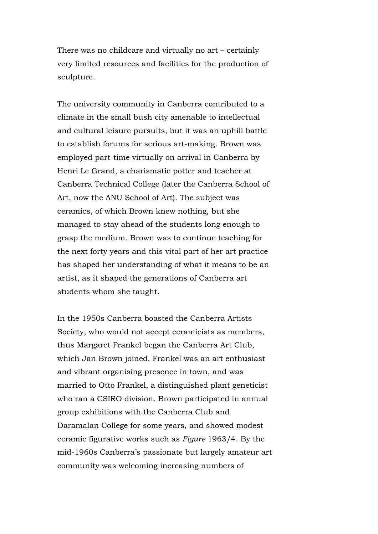There was no childcare and virtually no art – certainly very limited resources and facilities for the production of sculpture.

The university community in Canberra contributed to a climate in the small bush city amenable to intellectual and cultural leisure pursuits, but it was an uphill battle to establish forums for serious art-making. Brown was employed part-time virtually on arrival in Canberra by Henri Le Grand, a charismatic potter and teacher at Canberra Technical College (later the Canberra School of Art, now the ANU School of Art). The subject was ceramics, of which Brown knew nothing, but she managed to stay ahead of the students long enough to grasp the medium. Brown was to continue teaching for the next forty years and this vital part of her art practice has shaped her understanding of what it means to be an artist, as it shaped the generations of Canberra art students whom she taught.

In the 1950s Canberra boasted the Canberra Artists Society, who would not accept ceramicists as members, thus Margaret Frankel began the Canberra Art Club, which Jan Brown joined. Frankel was an art enthusiast and vibrant organising presence in town, and was married to Otto Frankel, a distinguished plant geneticist who ran a CSIRO division. Brown participated in annual group exhibitions with the Canberra Club and Daramalan College for some years, and showed modest ceramic figurative works such as *Figure* 1963/4. By the mid-1960s Canberra's passionate but largely amateur art community was welcoming increasing numbers of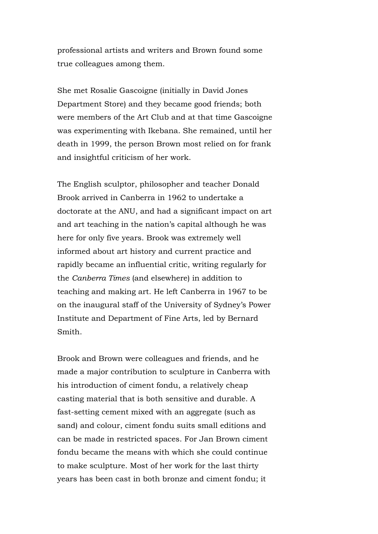professional artists and writers and Brown found some true colleagues among them.

She met Rosalie Gascoigne (initially in David Jones Department Store) and they became good friends; both were members of the Art Club and at that time Gascoigne was experimenting with Ikebana. She remained, until her death in 1999, the person Brown most relied on for frank and insightful criticism of her work.

The English sculptor, philosopher and teacher Donald Brook arrived in Canberra in 1962 to undertake a doctorate at the ANU, and had a significant impact on art and art teaching in the nation's capital although he was here for only five years. Brook was extremely well informed about art history and current practice and rapidly became an influential critic, writing regularly for the *Canberra Times* (and elsewhere) in addition to teaching and making art. He left Canberra in 1967 to be on the inaugural staff of the University of Sydney's Power Institute and Department of Fine Arts, led by Bernard Smith.

Brook and Brown were colleagues and friends, and he made a major contribution to sculpture in Canberra with his introduction of ciment fondu, a relatively cheap casting material that is both sensitive and durable. A fast-setting cement mixed with an aggregate (such as sand) and colour, ciment fondu suits small editions and can be made in restricted spaces. For Jan Brown ciment fondu became the means with which she could continue to make sculpture. Most of her work for the last thirty years has been cast in both bronze and ciment fondu; it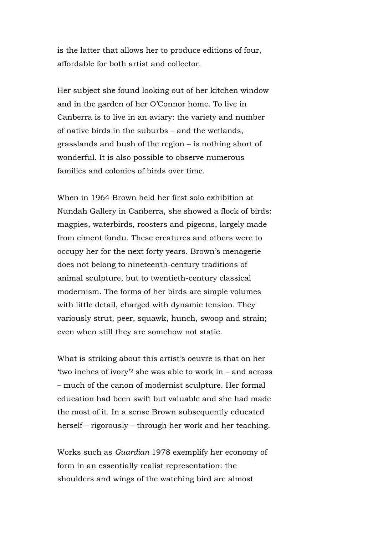is the latter that allows her to produce editions of four, affordable for both artist and collector.

Her subject she found looking out of her kitchen window and in the garden of her O'Connor home. To live in Canberra is to live in an aviary: the variety and number of native birds in the suburbs – and the wetlands, grasslands and bush of the region – is nothing short of wonderful. It is also possible to observe numerous families and colonies of birds over time.

When in 1964 Brown held her first solo exhibition at Nundah Gallery in Canberra, she showed a flock of birds: magpies, waterbirds, roosters and pigeons, largely made from ciment fondu. These creatures and others were to occupy her for the next forty years. Brown's menagerie does not belong to nineteenth-century traditions of animal sculpture, but to twentieth-century classical modernism. The forms of her birds are simple volumes with little detail, charged with dynamic tension. They variously strut, peer, squawk, hunch, swoop and strain; even when still they are somehow not static.

What is striking about this artist's oeuvre is that on her 'two inches of ivory'2 she was able to work in – and across – much of the canon of modernist sculpture. Her formal education had been swift but valuable and she had made the most of it. In a sense Brown subsequently educated herself – rigorously – through her work and her teaching.

Works such as *Guardian* 1978 exemplify her economy of form in an essentially realist representation: the shoulders and wings of the watching bird are almost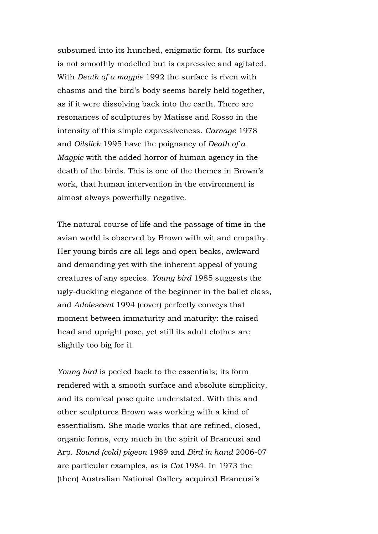subsumed into its hunched, enigmatic form. Its surface is not smoothly modelled but is expressive and agitated. With *Death of a magpie* 1992 the surface is riven with chasms and the bird's body seems barely held together, as if it were dissolving back into the earth. There are resonances of sculptures by Matisse and Rosso in the intensity of this simple expressiveness. *Carnage* 1978 and *Oilslick* 1995 have the poignancy of *Death of a Magpie* with the added horror of human agency in the death of the birds. This is one of the themes in Brown's work, that human intervention in the environment is almost always powerfully negative.

The natural course of life and the passage of time in the avian world is observed by Brown with wit and empathy. Her young birds are all legs and open beaks, awkward and demanding yet with the inherent appeal of young creatures of any species. *Young bird* 1985 suggests the ugly-duckling elegance of the beginner in the ballet class, and *Adolescent* 1994 (cover) perfectly conveys that moment between immaturity and maturity: the raised head and upright pose, yet still its adult clothes are slightly too big for it.

*Young bird* is peeled back to the essentials; its form rendered with a smooth surface and absolute simplicity, and its comical pose quite understated. With this and other sculptures Brown was working with a kind of essentialism. She made works that are refined, closed, organic forms, very much in the spirit of Brancusi and Arp. *Round (cold) pigeon* 1989 and *Bird in hand* 2006-07 are particular examples, as is *Cat* 1984. In 1973 the (then) Australian National Gallery acquired Brancusi's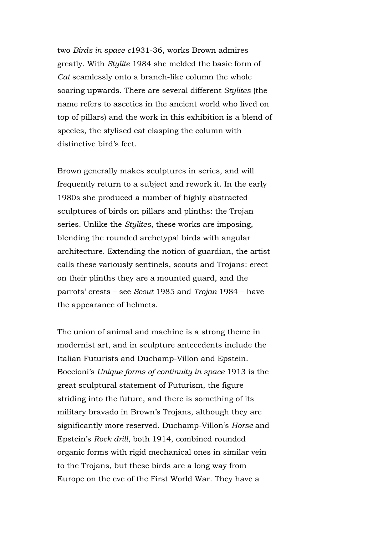two *Birds in space c*1931-36, works Brown admires greatly. With *Stylite* 1984 she melded the basic form of *Cat* seamlessly onto a branch-like column the whole soaring upwards. There are several different *Stylites* (the name refers to ascetics in the ancient world who lived on top of pillars) and the work in this exhibition is a blend of species, the stylised cat clasping the column with distinctive bird's feet.

Brown generally makes sculptures in series, and will frequently return to a subject and rework it. In the early 1980s she produced a number of highly abstracted sculptures of birds on pillars and plinths: the Trojan series*.* Unlike the *Stylites*, these works are imposing, blending the rounded archetypal birds with angular architecture. Extending the notion of guardian, the artist calls these variously sentinels, scouts and Trojans: erect on their plinths they are a mounted guard, and the parrots' crests – see *Scout* 1985 and *Trojan* 1984 – have the appearance of helmets.

The union of animal and machine is a strong theme in modernist art, and in sculpture antecedents include the Italian Futurists and Duchamp-Villon and Epstein. Boccioni's *Unique forms of continuity in space* 1913 is the great sculptural statement of Futurism, the figure striding into the future, and there is something of its military bravado in Brown's Trojans, although they are significantly more reserved. Duchamp-Villon's *Horse* and Epstein's *Rock drill*, both 1914, combined rounded organic forms with rigid mechanical ones in similar vein to the Trojans, but these birds are a long way from Europe on the eve of the First World War. They have a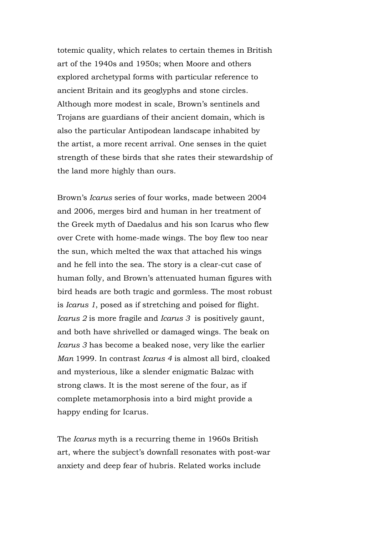totemic quality, which relates to certain themes in British art of the 1940s and 1950s; when Moore and others explored archetypal forms with particular reference to ancient Britain and its geoglyphs and stone circles. Although more modest in scale, Brown's sentinels and Trojans are guardians of their ancient domain, which is also the particular Antipodean landscape inhabited by the artist, a more recent arrival. One senses in the quiet strength of these birds that she rates their stewardship of the land more highly than ours.

Brown's *Icarus* series of four works, made between 2004 and 2006, merges bird and human in her treatment of the Greek myth of Daedalus and his son Icarus who flew over Crete with home-made wings. The boy flew too near the sun, which melted the wax that attached his wings and he fell into the sea. The story is a clear-cut case of human folly, and Brown's attenuated human figures with bird heads are both tragic and gormless. The most robust is *Icarus 1*, posed as if stretching and poised for flight. *Icarus 2* is more fragile and *Icarus 3* is positively gaunt, and both have shrivelled or damaged wings. The beak on *Icarus 3* has become a beaked nose, very like the earlier *Man* 1999. In contrast *Icarus 4* is almost all bird, cloaked and mysterious, like a slender enigmatic Balzac with strong claws. It is the most serene of the four, as if complete metamorphosis into a bird might provide a happy ending for Icarus.

The *Icarus* myth is a recurring theme in 1960s British art, where the subject's downfall resonates with post-war anxiety and deep fear of hubris. Related works include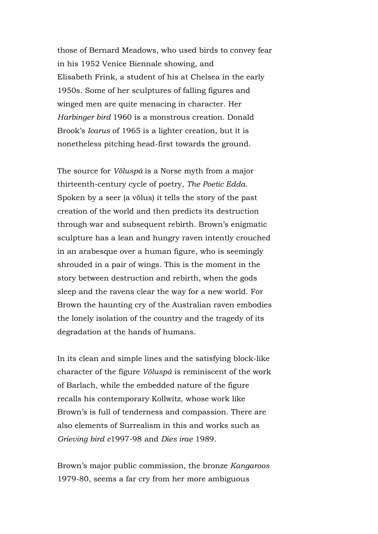those of Bernard Meadows, who used birds to convey fear in his 1952 Venice Biennale showing, and Elisabeth Frink, a student of his at Chelsea in the early 1950s. Some of her sculptures of falling figures and winged men are quite menacing in character. Her *Harbinger bird* 1960 is a monstrous creation. Donald Brook's *Icarus* of 1965 is a lighter creation, but it is nonetheless pitching head-first towards the ground.

The source for *Völuspá* is a Norse myth from a major thirteenth-century cycle of poetry, *The Poetic Edda*. Spoken by a seer (a völus) it tells the story of the past creation of the world and then predicts its destruction through war and subsequent rebirth. Brown's enigmatic sculpture has a lean and hungry raven intently crouched in an arabesque over a human figure, who is seemingly shrouded in a pair of wings. This is the moment in the story between destruction and rebirth, when the gods sleep and the ravens clear the way for a new world. For Brown the haunting cry of the Australian raven embodies the lonely isolation of the country and the tragedy of its degradation at the hands of humans.

In its clean and simple lines and the satisfying block-like character of the figure *Völuspá* is reminiscent of the work of Barlach, while the embedded nature of the figure recalls his contemporary Kollwitz, whose work like Brown's is full of tenderness and compassion. There are also elements of Surrealism in this and works such as *Grieving bird c*1997-98 and *Dies irae* 1989.

Brown's major public commission, the bronze *Kangaroos* 1979-80, seems a far cry from her more ambiguous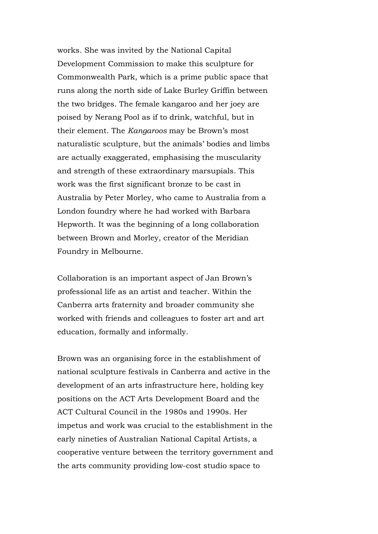works. She was invited by the National Capital Development Commission to make this sculpture for Commonwealth Park, which is a prime public space that runs along the north side of Lake Burley Griffin between the two bridges. The female kangaroo and her joey are poised by Nerang Pool as if to drink, watchful, but in their element. The *Kangaroos* may be Brown's most naturalistic sculpture, but the animals' bodies and limbs are actually exaggerated, emphasising the muscularity and strength of these extraordinary marsupials. This work was the first significant bronze to be cast in Australia by Peter Morley, who came to Australia from a London foundry where he had worked with Barbara Hepworth. It was the beginning of a long collaboration between Brown and Morley, creator of the Meridian Foundry in Melbourne.

Collaboration is an important aspect of Jan Brown's professional life as an artist and teacher. Within the Canberra arts fraternity and broader community she worked with friends and colleagues to foster art and art education, formally and informally.

Brown was an organising force in the establishment of national sculpture festivals in Canberra and active in the development of an arts infrastructure here, holding key positions on the ACT Arts Development Board and the ACT Cultural Council in the 1980s and 1990s. Her impetus and work was crucial to the establishment in the early nineties of Australian National Capital Artists, a cooperative venture between the territory government and the arts community providing low-cost studio space to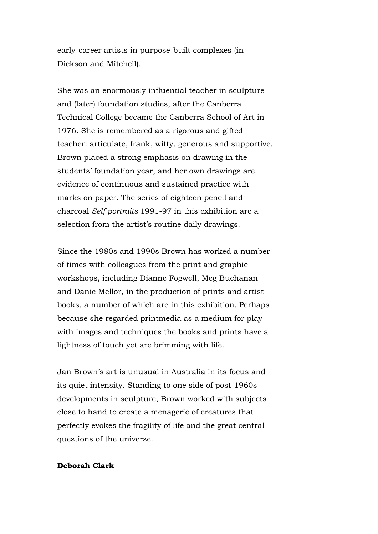early-career artists in purpose-built complexes (in Dickson and Mitchell).

She was an enormously influential teacher in sculpture and (later) foundation studies, after the Canberra Technical College became the Canberra School of Art in 1976. She is remembered as a rigorous and gifted teacher: articulate, frank, witty, generous and supportive. Brown placed a strong emphasis on drawing in the students' foundation year, and her own drawings are evidence of continuous and sustained practice with marks on paper. The series of eighteen pencil and charcoal *Self portraits* 1991-97 in this exhibition are a selection from the artist's routine daily drawings.

Since the 1980s and 1990s Brown has worked a number of times with colleagues from the print and graphic workshops, including Dianne Fogwell, Meg Buchanan and Danie Mellor, in the production of prints and artist books, a number of which are in this exhibition. Perhaps because she regarded printmedia as a medium for play with images and techniques the books and prints have a lightness of touch yet are brimming with life.

Jan Brown's art is unusual in Australia in its focus and its quiet intensity. Standing to one side of post-1960s developments in sculpture, Brown worked with subjects close to hand to create a menagerie of creatures that perfectly evokes the fragility of life and the great central questions of the universe.

## **Deborah Clark**